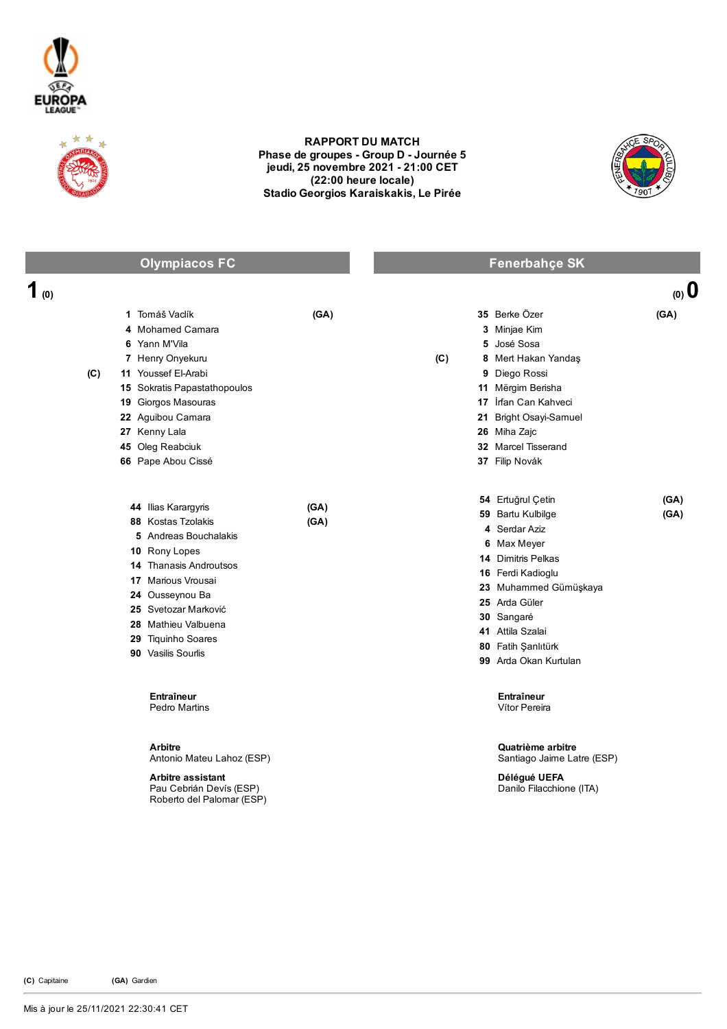



## RAPPORT DU MATCH Phase de groupes - Group D - Journée 5 jeudi, 25 novembre 2021 21:00 CET (22:00 heure locale) Stadio Georgios Karaiskakis, Le Pirée



|                  | <b>Olympiacos FC</b>                                                                                                                                                                                                                                     |              |     | Fenerbahçe SK                                                                                                                                                                                                                                       |              |
|------------------|----------------------------------------------------------------------------------------------------------------------------------------------------------------------------------------------------------------------------------------------------------|--------------|-----|-----------------------------------------------------------------------------------------------------------------------------------------------------------------------------------------------------------------------------------------------------|--------------|
| 1 <sub>(0)</sub> |                                                                                                                                                                                                                                                          |              |     |                                                                                                                                                                                                                                                     | (0, 0)       |
| (C)              | 1 Tomáš Vaclík<br>4 Mohamed Camara<br>6 Yann M'Vila<br>7 Henry Onyekuru<br>11 Youssef El-Arabi<br>15 Sokratis Papastathopoulos<br>19 Giorgos Masouras<br>22 Aguibou Camara<br>27 Kenny Lala<br>45 Oleg Reabciuk<br>66 Pape Abou Cissé                    | (GA)         | (C) | 35 Berke Özer<br>3 Minjae Kim<br>5 José Sosa<br>8 Mert Hakan Yandaş<br>9 Diego Rossi<br>11 Mërgim Berisha<br>17 Irfan Can Kahveci<br>21 Bright Osayi-Samuel<br>26 Miha Zajc<br>32 Marcel Tisserand<br>37 Filip Novák                                | (GA)         |
|                  | 44 Ilias Karargyris<br>88 Kostas Tzolakis<br>5 Andreas Bouchalakis<br>10 Rony Lopes<br><b>14 Thanasis Androutsos</b><br>17 Marious Vrousai<br>24 Ousseynou Ba<br>25 Svetozar Marković<br>28 Mathieu Valbuena<br>29 Tiquinho Soares<br>90 Vasilis Sourlis | (GA)<br>(GA) |     | 54 Ertuğrul Çetin<br>59 Bartu Kulbilge<br>4 Serdar Aziz<br>6 Max Meyer<br><b>14</b> Dimitris Pelkas<br>16 Ferdi Kadioglu<br>23 Muhammed Gümüşkaya<br>25 Arda Güler<br>30 Sangaré<br>41 Attila Szalai<br>80 Fatih Şanlıtürk<br>99 Arda Okan Kurtulan | (GA)<br>(GA) |
|                  | <b>Entraîneur</b><br><b>Pedro Martins</b>                                                                                                                                                                                                                |              |     | Entraîneur<br>Vítor Pereira                                                                                                                                                                                                                         |              |
|                  | <b>Arbitre</b><br>Antonio Mateu Lahoz (ESP)                                                                                                                                                                                                              |              |     | Quatrième arbitre<br>Santiago Jaime Latre (ESP)                                                                                                                                                                                                     |              |

Arbitre assistant Pau Cebrián Devís (ESP) Roberto del Palomar (ESP) Délégué UEFA Danilo Filacchione (ITA)

(C) Capitaine (GA) Gardien